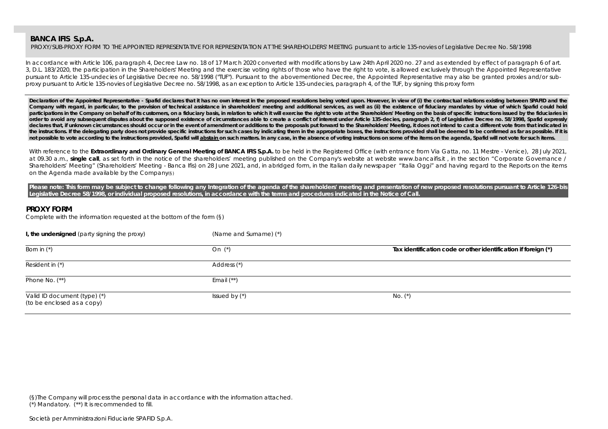PROXY/SUB-PROXY FORM TO THE APPOINTED REPRESENTATIVE FOR REPRESENTATION AT THE SHAREHOLDERS' MEETING pursuant to article 135-novies of Legislative Decree No. 58/1998

In accordance with Article 106, paragraph 4, Decree Law no. 18 of 17 March 2020 converted with modifications by Law 24th April 2020 no. 27 and as extended by effect of paragraph 6 of art. 3, D.L. 183/2020, the participation in the Shareholders' Meeting and the exercise voting rights of those who have the right to vote, is allowed exclusively through the Appointed Representative pursuant to Article 135-undecies of Legislative Decree no. 58/1998 ("TUF"). Pursuant to the abovementioned Decree, the Appointed Representative may also be granted proxies and/or subproxy pursuant to Article 135-novies of Legislative Decree no. 58/1998, as an exception to Article 135-undecies, paragraph 4, of the TUF, by signing this proxy form

Declaration of the Appointed Representative - Spafid declares that it has no own interest in the proposed resolutions being voted upon. However, in view of (i) the contractual relations existing between SPAFID and the Company with regard, in particular, to the provision of technical assistance in shareholders' meeting and additional services, as well as (ii) the existence of fiduciary mandates by virtue of which Spafid could hold participations in the Company on behalf of its customers, on a fiduciary basis, in relation to which it will exercise the right to vote at the Shareholders' Meeting on the basis of specific instructions issued by the fiduc **order to avoid any subsequent disputes about the supposed existence of circumstances able to create a conflict of interest under Article 135-decies, paragraph 2, f) of Legislative Decree no. 58/1998, Spafid expressly**  declares that, if unknown circumstances should occur or in the event of amendment or additions to the proposals put forward to the Shareholders' Meeting, it does not intend to cast a different vote from that indicated in the instructions. If the delegating party does not provide specific instructions for such cases by indicating them in the appropriate boxes, the instructions provided shall be deemed to be confirmed as far as possible. If not possible to vote according to the instructions provided, Spafid will abstain on such matters. In any case, in the absence of voting instructions on some of the items on the agenda, Spafid will not vote for such items.

With reference to the Extraordinary and Ordinary General Meeting of BANCA IFIS S.p.A. to be held in the Registered Office (with entrance from Via Gatta, no. 11 Mestre - Venice), 28 July 2021, at 09.30 a.m., **single call**, as set forth in the notice of the shareholders' meeting published on the Company's website at website www.bancaifis.it , in the section "Corporate Governance / Shareholders' Meeting" (Shareholders' Meeting - Banca Ifis) on 28 June 2021, and, in abridged form, in the Italian daily newspaper "Italia Oggi" and having regard to the Reports on the items on the Agenda made available by the Company(§)

Please note: This form may be subject to change following any Integration of the agenda of the shareholders' meeting and presentation of new proposed resolutions pursuant to Article 126-bis **Legislative Decree 58/1998, or individual proposed resolutions, in accordance with the terms and procedures indicated in the Notice of Call.** 

## **PROXY FORM**

Complete with the information requested at the bottom of the form (§)

| I, the undersigned (party signing the proxy)               | (Name and Surname) (*) |                                                                |
|------------------------------------------------------------|------------------------|----------------------------------------------------------------|
| Born in $(*)$                                              | On $(*)$               | Tax identification code or other identification if foreign (*) |
| Resident in (*)                                            | Address (*)            |                                                                |
| Phone No. $(**)$                                           | Email $(**)$           |                                                                |
| Valid ID document (type) (*)<br>(to be enclosed as a copy) | Issued by $(*)$        | No. $(*)$                                                      |

(§)The Company will process the personal data in accordance with the information attached. (\*) Mandatory. (\*\*) It is recommended to fill.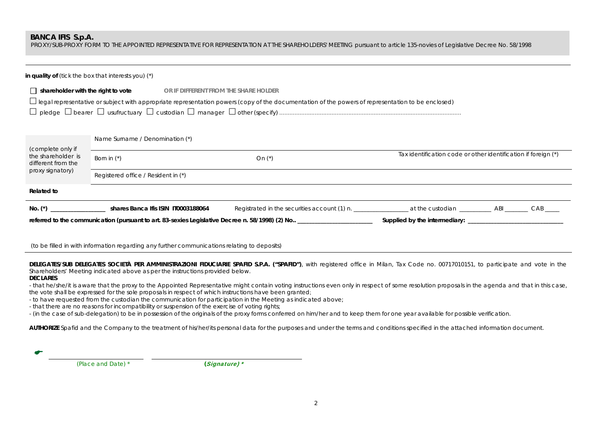PROXY/SUB-PROXY FORM TO THE APPOINTED REPRESENTATIVE FOR REPRESENTATION AT THE SHAREHOLDERS' MEETING pursuant to article 135-novies of Legislative Decree No. 58/1998

|                                           | in quality of ( <i>tick the box that interests you</i> ) $(*)$    |                                                                                                                                                     |                                                                |  |  |  |
|-------------------------------------------|-------------------------------------------------------------------|-----------------------------------------------------------------------------------------------------------------------------------------------------|----------------------------------------------------------------|--|--|--|
| $\Box$ shareholder with the right to vote | or if different from the share holder                             | □ legal representative or subject with appropriate representation powers (copy of the documentation of the powers of representation to be enclosed) |                                                                |  |  |  |
| (complete only if                         | Name Surname / Denomination (*)                                   |                                                                                                                                                     |                                                                |  |  |  |
| the shareholder is<br>different from the  | Born in $(*)$                                                     | On $(*)$                                                                                                                                            | Tax identification code or other identification if foreign (*) |  |  |  |
| proxy signatory)                          | Registered office / Resident in (*)                               |                                                                                                                                                     |                                                                |  |  |  |
| Related to                                |                                                                   |                                                                                                                                                     |                                                                |  |  |  |
|                                           | No. (*) _____________________ shares Banca Ifis ISIN IT0003188064 |                                                                                                                                                     |                                                                |  |  |  |
|                                           |                                                                   |                                                                                                                                                     |                                                                |  |  |  |

(to be filled in with information regarding any further communications relating to deposits)

DELEGATES/SUB DELEGATES SOCIETÀ PER AMMINISTRAZIONI FIDUCIARIE SPAFID S.P.A. ("SPAFID"), with registered office in Milan, Tax Code no. 00717010151, to participate and vote in the Shareholders' Meeting indicated above as per the instructions provided below.

#### **DECLARES**

- that he/she/it is aware that the proxy to the Appointed Representative might contain voting instructions even only in respect of some resolution proposals in the agenda and that in this case, the vote shall be expressed for the sole proposals in respect of which instructions have been granted;

- to have requested from the custodian the communication for participation in the Meeting as indicated above;

- that there are no reasons for incompatibility or suspension of the exercise of voting rights;

- (in the case of sub-delegation) to be in possession of the originals of the proxy forms conferred on him/her and to keep them for one year available for possible verification.

**AUTHORIZE** Spafid and the Company to the treatment of his/her/its personal data for the purposes and under the terms and conditions specified in the attached information document.

| a se |  |  |
|------|--|--|
|      |  |  |

 *(Place and Date) \* (*Signature) \*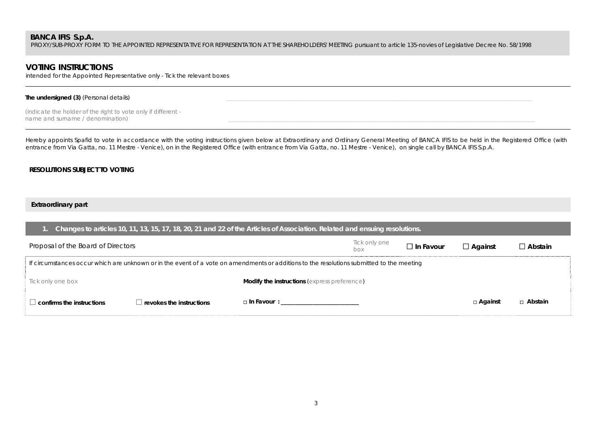PROXY/SUB-PROXY FORM TO THE APPOINTED REPRESENTATIVE FOR REPRESENTATION AT THE SHAREHOLDERS' MEETING pursuant to article 135-novies of Legislative Decree No. 58/1998

## **VOTING INSTRUCTIONS**

intended for the Appointed Representative only - Tick the relevant boxes

### The undersigned (3) (Personal details)

*(indicate the holder of the right to vote only if different*  name and surname / denomination)

Hereby appoints Spafid to vote in accordance with the voting instructions given below at Extraordinary and Ordinary General Meeting of BANCA IFIS to be held in the Registered Office (with entrance from Via Gatta, no. 11 Mestre - Venice), on in the Registered Office (with entrance from Via Gatta, no. 11 Mestre - Venice), on single call by BANCA IFIS S.p.A.

## **RESOLUTIONS SUBJECT TO VOTING**

## **Extraordinary part**

| Changes to articles 10, 11, 13, 15, 17, 18, 20, 21 and 22 of the Articles of Association. Related and ensuing resolutions.                |                                 |                                                                                                                                                                                                                               |                      |                  |                |                |  |
|-------------------------------------------------------------------------------------------------------------------------------------------|---------------------------------|-------------------------------------------------------------------------------------------------------------------------------------------------------------------------------------------------------------------------------|----------------------|------------------|----------------|----------------|--|
| Proposal of the Board of Directors                                                                                                        |                                 |                                                                                                                                                                                                                               | Tick only one<br>box | $\Box$ In Favour | $\Box$ Against | $\Box$ Abstain |  |
| If circumstances occur which are unknown or in the event of a vote on amendments or additions to the resolutions submitted to the meeting |                                 |                                                                                                                                                                                                                               |                      |                  |                |                |  |
| Tick only one box                                                                                                                         |                                 | <b>Modify the instructions (express preference)</b>                                                                                                                                                                           |                      |                  |                |                |  |
| $\perp$ confirms the instructions                                                                                                         | $\Box$ revokes the instructions | □ In Favour : The Contract of the Contract of the Contract of the Contract of the Contract of the Contract of the Contract of the Contract of the Contract of the Contract of the Contract of the Contract of the Contract of |                      |                  | □ Against      | □ Abstain      |  |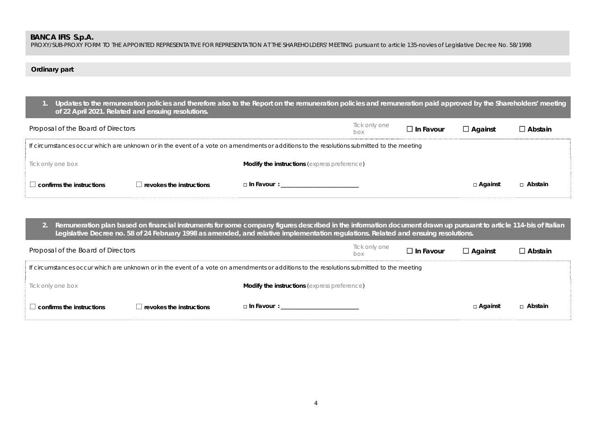PROXY/SUB-PROXY FORM TO THE APPOINTED REPRESENTATIVE FOR REPRESENTATION AT THE SHAREHOLDERS' MEETING pursuant to article 135-novies of Legislative Decree No. 58/1998

## **Ordinary part**

| [1. Updates to the remuneration policies and therefore also to the Report on the remuneration policies and remuneration paid approved by the Shareholders' meeting<br>of 22 April 2021. Related and ensuing resolutions. |
|--------------------------------------------------------------------------------------------------------------------------------------------------------------------------------------------------------------------------|
|                                                                                                                                                                                                                          |

| Proposal of the Board of Directors |                          |                                                                                                                                           | Tick only one<br>box | $\square$ In Favour | $\Box$ Against | $\square$ Abstain |
|------------------------------------|--------------------------|-------------------------------------------------------------------------------------------------------------------------------------------|----------------------|---------------------|----------------|-------------------|
|                                    |                          | If circumstances occur which are unknown or in the event of a vote on amendments or additions to the resolutions submitted to the meeting |                      |                     |                |                   |
| Tick only one box                  |                          | Modify the instructions (express preference)                                                                                              |                      |                     |                |                   |
| $\perp$ confirms the instructions  | revokes the instructions | $\Box$ In Favour :                                                                                                                        |                      |                     | □ Against      | □ Abstain         |

**2. Remuneration plan based on financial instruments for some company figures described in the information document drawn up pursuant to article 114-bis of Italian Legislative Decree no. 58 of 24 February 1998 as amended, and relative implementation regulations. Related and ensuing resolutions.** 

| Proposal of the Board of Directors                                                                                                        |                          |                                                                                                                                                                                                                              | Tick only one<br>box | $\Box$ In Favour | $\Box$ Against | $\Box$ Abstain |
|-------------------------------------------------------------------------------------------------------------------------------------------|--------------------------|------------------------------------------------------------------------------------------------------------------------------------------------------------------------------------------------------------------------------|----------------------|------------------|----------------|----------------|
| If circumstances occur which are unknown or in the event of a vote on amendments or additions to the resolutions submitted to the meeting |                          |                                                                                                                                                                                                                              |                      |                  |                |                |
| Tick only one box                                                                                                                         |                          | <b>Modify the instructions (express preference)</b>                                                                                                                                                                          |                      |                  |                |                |
| $\perp$ confirms the instructions                                                                                                         | revokes the instructions | □ In Favour : The Service of The Service of The Service of The Service of The Service of The Service of The Service of The Service of The Service of The Service of The Service of The Service of The Service of The Service |                      |                  | □ Against      | □ Abstain      |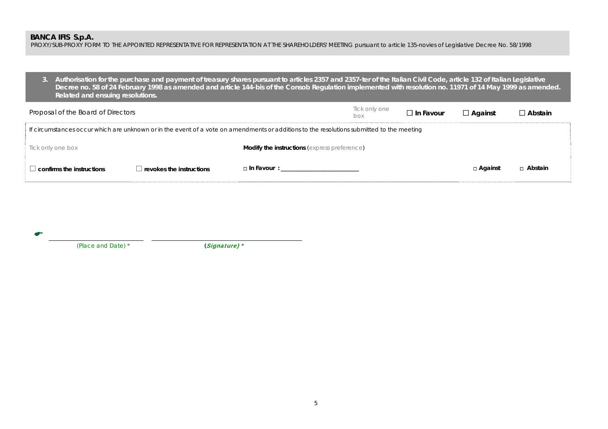PROXY/SUB-PROXY FORM TO THE APPOINTED REPRESENTATIVE FOR REPRESENTATION AT THE SHAREHOLDERS' MEETING pursuant to article 135-novies of Legislative Decree No. 58/1998

**3. Authorisation for the purchase and payment of treasury shares pursuant to articles 2357 and 2357-ter of the Italian Civil Code, article 132 of Italian Legislative Decree no. 58 of 24 February 1998 as amended and article 144-bis of the Consob Regulation implemented with resolution no. 11971 of 14 May 1999 as amended. Related and ensuing resolutions.** 

| Proposal of the Board of Directors                                                                                                        |                                 |                                                     | Tick only one<br>box | $\square$ In Favour | $\Box$ Against | $\Box$ Abstain |
|-------------------------------------------------------------------------------------------------------------------------------------------|---------------------------------|-----------------------------------------------------|----------------------|---------------------|----------------|----------------|
| If circumstances occur which are unknown or in the event of a vote on amendments or additions to the resolutions submitted to the meeting |                                 |                                                     |                      |                     |                |                |
| Tick only one box                                                                                                                         |                                 | <b>Modify the instructions (express preference)</b> |                      |                     |                |                |
| $\Box$ confirms the instructions                                                                                                          | $\Box$ revokes the instructions | $\Box$ In Favour :                                  |                      |                     | □ Against      | □ Abstain      |

 $\bullet$ 

 *(Place and Date) \* (*Signature) \*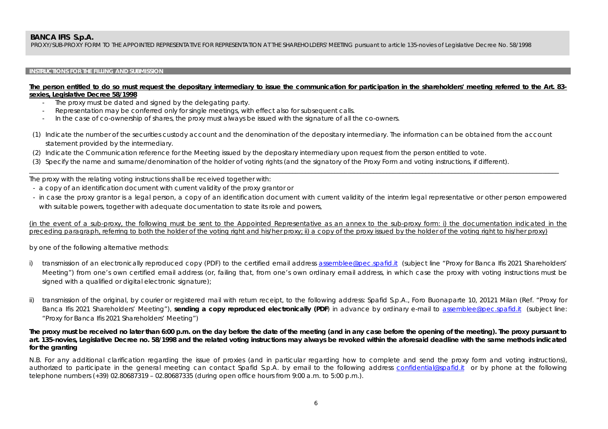PROXY/SUB-PROXY FORM TO THE APPOINTED REPRESENTATIVE FOR REPRESENTATION AT THE SHAREHOLDERS' MEETING pursuant to article 135-novies of Legislative Decree No. 58/1998

## **INSTRUCTIONS FOR THE FILLING AND SUBMISSION**

## **The person entitled to do so must request the depositary intermediary to issue the communication for participation in the shareholders' meeting referred to the Art. 83 sexies, Legislative Decree 58/1998**

- -The proxy must be dated and signed by the delegating party.
- -Representation may be conferred only for single meetings, with effect also for subsequent calls.
- In the case of co-ownership of shares, the proxy must always be issued with the signature of all the co-owners.
- (1) Indicate the number of the securities custody account and the denomination of the depositary intermediary. The information can be obtained from the account statement provided by the intermediary.

\_\_\_\_\_\_\_\_\_\_\_\_\_\_\_\_\_\_\_\_\_\_\_\_\_\_\_\_\_\_\_\_\_\_\_\_\_\_\_\_\_\_\_\_\_\_\_\_\_\_\_\_\_\_\_\_\_\_\_\_\_\_\_\_\_\_\_\_\_\_\_\_\_\_\_\_\_\_\_\_\_\_\_\_\_\_\_\_\_\_\_\_\_\_\_\_\_\_\_\_\_\_\_\_\_\_\_\_\_\_\_\_\_\_\_\_\_\_\_\_\_\_\_\_\_\_\_\_\_\_\_\_\_\_\_\_\_\_\_\_\_\_\_\_\_\_\_\_\_\_\_\_\_\_\_\_\_\_\_\_\_\_\_

- (2) Indicate the Communication reference for the Meeting issued by the depositary intermediary upon request from the person entitled to vote.
- (3) Specify the name and surname/denomination of the holder of voting rights (and the signatory of the Proxy Form and voting instructions, if different).

The proxy with the relating voting instructions shall be received together with:

- a copy of an identification document with current validity of the proxy grantor or
- in case the proxy grantor is a legal person, a copy of an identification document with current validity of the interim legal representative or other person empowered with suitable powers, together with adequate documentation to state its role and powers,

(in the event of a sub-proxy, the following must be sent to the Appointed Representative as an annex to the sub-proxy form: i) the documentation indicated in the preceding paragraph, referring to both the holder of the voting right and his/her proxy; ii) a copy of the proxy issued by the holder of the voting right to his/her proxy)

by one of the following alternative methods:

- i) transmission of an electronically reproduced copy (PDF) to the certified email address assemblee@pec.spafid.it (subject line "Proxy for Banca Ifis 2021 Shareholders' Meeting") from one's own certified email address (or, failing that, from one's own ordinary email address, in which case the proxy with voting instructions must be signed with a qualified or digital electronic signature);
- transmission of the original, by courier or registered mail with return receipt, to the following address: Spafid S.p.A., Foro Buonaparte 10, 20121 Milan (Ref. "Proxy for Banca Ifis 2021 Shareholders' Meeting"), **sending a copy reproduced electronically (PDF**) in advance by ordinary e-mail to assemblee@pec.spafid.it (subject line: "Proxy for Banca Ifis 2021 Shareholders' Meeting")

## **The proxy must be received no later than 6:00 p.m. on the day before the date of the meeting (and in any case before the opening of the meeting). The proxy pursuant to art. 135-novies, Legislative Decree no. 58/1998 and the related voting instructions may always be revoked within the aforesaid deadline with the same methods indicated for the granting**

N.B. For any additional clarification regarding the issue of proxies (and in particular regarding how to complete and send the proxy form and voting instructions), authorized to participate in the general meeting can contact Spafid S.p.A. by email to the following address confidential@spafid.it or by phone at the following telephone numbers (+39) 02.80687319 – 02.80687335 (during open office hours from 9:00 a.m. to 5:00 p.m.).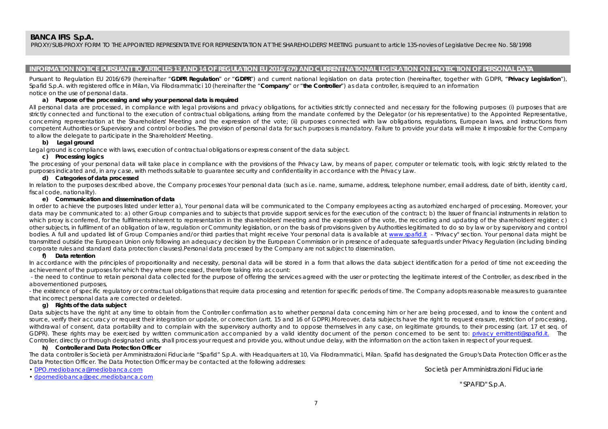PROXY/SUB-PROXY FORM TO THE APPOINTED REPRESENTATIVE FOR REPRESENTATION AT THE SHAREHOLDERS' MEETING pursuant to article 135-novies of Legislative Decree No. 58/1998

### **INFORMATION NOTICE PURSUANT TO ARTICLES 13 AND 14 OF REGULATION EU 2016/679 AND CURRENT NATIONAL LEGISLATION ON PROTECTION OF PERSONAL DATA**

Pursuant to Regulation EU 2016/679 (hereinafter "**GDPR Regulation**" or "**GDPR**") and current national legislation on data protection (hereinafter, together with GDPR, "**Privacy Legislation**"), Spafid S.p.A. with registered office in Milan, Via Filodrammatici 10 (hereinafter the "**Company**" or "**the Controller**") as data controller, is required to an information notice on the use of personal data.

### **a) Purpose of the processing and why your personal data is required**

All personal data are processed, in compliance with legal provisions and privacy obligations, for activities strictly connected and necessary for the following purposes: (i) purposes that are strictly connected and functional to the execution of contractual obligations, arising from the mandate conferred by the Delegator (or his representative) to the Appointed Representative, concerning representation at the Shareholders' Meeting and the expression of the vote; (ii) purposes connected with law obligations, regulations, European laws, and instructions from competent Authorities or Supervisory and control or bodies. The provision of personal data for such purposes is mandatory. Failure to provide your data will make it impossible for the Company to allow the delegate to participate in the Shareholders' Meeting.

### **b) Legal ground**

Legal ground is compliance with laws, execution of contractual obligations or express consent of the data subject.

### **c) Processing logics**

The processing of your personal data will take place in compliance with the provisions of the Privacy Law, by means of paper, computer or telematic tools, with logic strictly related to the purposes indicated and, in any case, with methods suitable to guarantee security and confidentiality in accordance with the Privacy Law.

### **d) Categories of data processed**

In relation to the purposes described above, the Company processes Your personal data (such as i.e. name, surname, address, telephone number, email address, date of birth, identity card, fiscal code, nationality).

#### **e) Communication and dissemination of data**

In order to achieve the purposes listed under letter a), Your personal data will be communicated to the Company employees acting as autorhized encharged of processing. Moreover, your data may be communicated to: a) other Group companies and to subjects that provide support services for the execution of the contract; b) the Issuer of financial instruments in relation to which proxy is conferred, for the fulfilments inherent to representation in the shareholders' meeting and the expression of the vote, the recording and updating of the shareholders' register; c) other subjects, in fulfilment of an obligation of law, regulation or Community legislation, or on the basis of provisions given by Authorities legitimated to do so by law or by supervisory and control bodies. A full and updated list of Group Companies and/or third parties that might receive Your personal data is available at www.spafid.it - "Privacy" section. Your personal data might be transmitted outside the European Union only following an adequacy decision by the European Commission or in presence of adequate safeguards under Privacy Regulation (including binding corporate rules and standard data protection clauses).Personal data processed by the Company are not subject to dissemination.

#### **f) Data retention**

In accordance with the principles of proportionality and necessity, personal data will be stored in a form that allows the data subject identification for a period of time not exceeding the achievement of the purposes for which they where processed, therefore taking into account:

 - the need to continue to retain personal data collected for the purpose of offering the services agreed with the user or protecting the legitimate interest of the Controller, as described in the abovementioned purposes,

- the existence of specific regulatory or contractual obligations that require data processing and retention for specific periods of time. The Company adopts reasonable measures to guarantee that incorrect personal data are corrected or deleted.

#### **g) Rights of the data subject**

Data subjects have the right at any time to obtain from the Controller confirmation as to whether personal data concerning him or her are being processed, and to know the content and source, verify their accuracy or request their integration or update, or correction (artt. 15 and 16 of GDPR).Moreover, data subjects have the right to request erasure, restriction of processing, withdrawal of consent, data portability and to complain with the supervisory authority and to oppose themselves in any case, on legitimate grounds, to their processing (art. 17 et seg. of GDPR). These rights may be exercised by written communication accompanied by a valid identity document of the person concerned to be sent to: privacy emittenti@spafid.it. The Controller, directly or through designated units, shall process your request and provide you, without undue delay, with the information on the action taken in respect of your request.

#### **h) Controller and Data Protection Officer**

The data controller is Società per Amministrazioni Fiduciarie "Spafid" S.p.A. with Headquarters at 10, Via Filodrammatici, Milan. Spafid has designated the Group's Data Protection Officer as the Data Protection Officer. The Data Protection Officer may be contacted at the following addresses:

• DPO.mediobanca@mediobanca.com

Società per Amministrazioni Fiduciarie

• dpomediobanca@pec.mediobanca.com

" SPAFID" S.p.A.